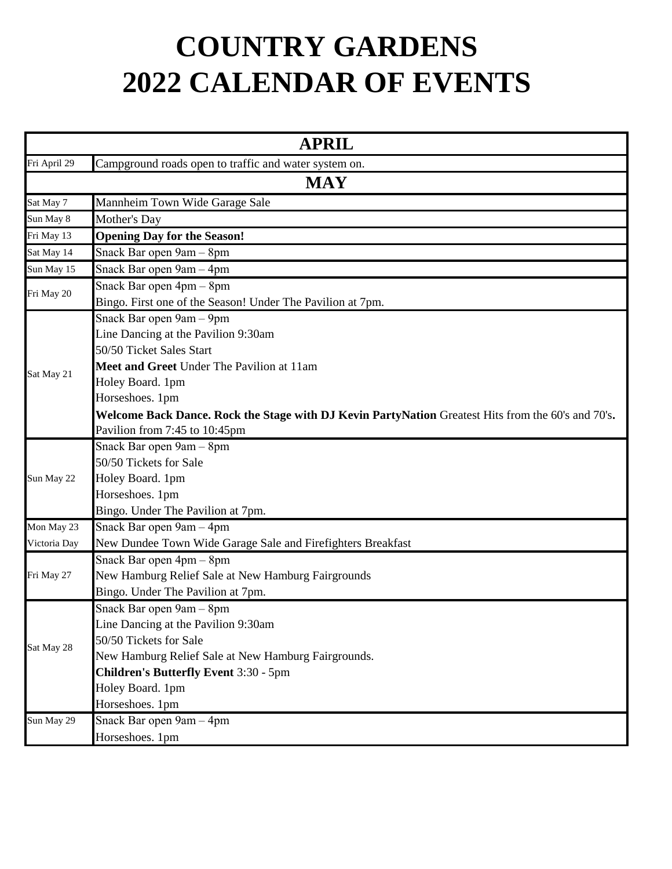## **COUNTRY GARDENS 2022 CALENDAR OF EVENTS**

|              | <b>APRIL</b>                                                                                       |  |
|--------------|----------------------------------------------------------------------------------------------------|--|
| Fri April 29 | Campground roads open to traffic and water system on.                                              |  |
|              | <b>MAY</b>                                                                                         |  |
| Sat May 7    | Mannheim Town Wide Garage Sale                                                                     |  |
| Sun May 8    | Mother's Day                                                                                       |  |
| Fri May 13   | <b>Opening Day for the Season!</b>                                                                 |  |
| Sat May 14   | Snack Bar open 9am - 8pm                                                                           |  |
| Sun May 15   | Snack Bar open 9am - 4pm                                                                           |  |
|              | Snack Bar open 4pm - 8pm                                                                           |  |
| Fri May 20   | Bingo. First one of the Season! Under The Pavilion at 7pm.                                         |  |
|              | Snack Bar open 9am - 9pm                                                                           |  |
|              | Line Dancing at the Pavilion 9:30am                                                                |  |
|              | 50/50 Ticket Sales Start                                                                           |  |
| Sat May 21   | Meet and Greet Under The Pavilion at 11am                                                          |  |
|              | Holey Board. 1pm                                                                                   |  |
|              | Horseshoes. 1pm                                                                                    |  |
|              | Welcome Back Dance. Rock the Stage with DJ Kevin PartyNation Greatest Hits from the 60's and 70's. |  |
|              | Pavilion from 7:45 to 10:45pm                                                                      |  |
|              | Snack Bar open 9am - 8pm                                                                           |  |
|              | 50/50 Tickets for Sale                                                                             |  |
| Sun May 22   | Holey Board. 1pm                                                                                   |  |
|              | Horseshoes. 1pm                                                                                    |  |
|              | Bingo. Under The Pavilion at 7pm.                                                                  |  |
| Mon May 23   | Snack Bar open 9am - 4pm                                                                           |  |
| Victoria Day | New Dundee Town Wide Garage Sale and Firefighters Breakfast                                        |  |
|              | Snack Bar open 4pm - 8pm                                                                           |  |
| Fri May 27   | New Hamburg Relief Sale at New Hamburg Fairgrounds                                                 |  |
|              | Bingo. Under The Pavilion at 7pm.                                                                  |  |
|              | Snack Bar open 9am - 8pm                                                                           |  |
|              | Line Dancing at the Pavilion 9:30am                                                                |  |
| Sat May 28   | 50/50 Tickets for Sale                                                                             |  |
|              | New Hamburg Relief Sale at New Hamburg Fairgrounds.                                                |  |
|              | <b>Children's Butterfly Event 3:30 - 5pm</b>                                                       |  |
|              | Holey Board. 1pm                                                                                   |  |
|              | Horseshoes. 1pm                                                                                    |  |
| Sun May 29   | Snack Bar open $9am - 4pm$                                                                         |  |
|              | Horseshoes. 1pm                                                                                    |  |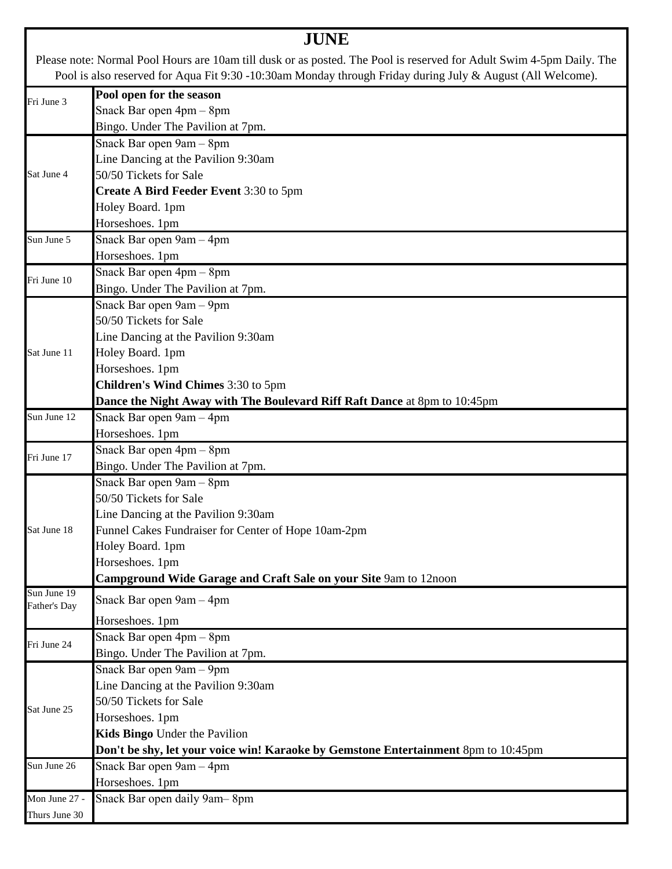|                             | <b>JUNE</b>                                                                                                                                                                                                                        |
|-----------------------------|------------------------------------------------------------------------------------------------------------------------------------------------------------------------------------------------------------------------------------|
|                             | Please note: Normal Pool Hours are 10am till dusk or as posted. The Pool is reserved for Adult Swim 4-5pm Daily. The<br>Pool is also reserved for Aqua Fit 9:30 -10:30am Monday through Friday during July & August (All Welcome). |
| Fri June 3                  | Pool open for the season                                                                                                                                                                                                           |
|                             | Snack Bar open 4pm - 8pm                                                                                                                                                                                                           |
|                             | Bingo. Under The Pavilion at 7pm.                                                                                                                                                                                                  |
|                             | Snack Bar open 9am - 8pm                                                                                                                                                                                                           |
|                             | Line Dancing at the Pavilion 9:30am                                                                                                                                                                                                |
| Sat June 4                  | 50/50 Tickets for Sale                                                                                                                                                                                                             |
|                             | Create A Bird Feeder Event 3:30 to 5pm                                                                                                                                                                                             |
|                             | Holey Board. 1pm                                                                                                                                                                                                                   |
|                             | Horseshoes. 1pm                                                                                                                                                                                                                    |
| Sun June 5                  | Snack Bar open 9am - 4pm                                                                                                                                                                                                           |
|                             | Horseshoes. 1pm                                                                                                                                                                                                                    |
| Fri June 10                 | Snack Bar open 4pm - 8pm                                                                                                                                                                                                           |
|                             | Bingo. Under The Pavilion at 7pm.                                                                                                                                                                                                  |
|                             | Snack Bar open 9am - 9pm                                                                                                                                                                                                           |
|                             | 50/50 Tickets for Sale                                                                                                                                                                                                             |
|                             | Line Dancing at the Pavilion 9:30am                                                                                                                                                                                                |
| Sat June 11                 | Holey Board. 1pm                                                                                                                                                                                                                   |
|                             | Horseshoes. 1pm                                                                                                                                                                                                                    |
|                             | Children's Wind Chimes 3:30 to 5pm                                                                                                                                                                                                 |
|                             | Dance the Night Away with The Boulevard Riff Raft Dance at 8pm to 10:45pm                                                                                                                                                          |
| Sun June 12                 | Snack Bar open 9am - 4pm                                                                                                                                                                                                           |
|                             | Horseshoes. 1pm                                                                                                                                                                                                                    |
| Fri June 17                 | Snack Bar open 4pm - 8pm                                                                                                                                                                                                           |
|                             | Bingo. Under The Pavilion at 7pm.                                                                                                                                                                                                  |
|                             | Snack Bar open 9am - 8pm                                                                                                                                                                                                           |
|                             | 50/50 Tickets for Sale                                                                                                                                                                                                             |
|                             | Line Dancing at the Pavilion 9:30am                                                                                                                                                                                                |
| Sat June 18                 | Funnel Cakes Fundraiser for Center of Hope 10am-2pm                                                                                                                                                                                |
|                             | Holey Board. 1pm                                                                                                                                                                                                                   |
|                             | Horseshoes. 1pm                                                                                                                                                                                                                    |
|                             | Campground Wide Garage and Craft Sale on your Site 9am to 12noon                                                                                                                                                                   |
| Sun June 19<br>Father's Day | Snack Bar open 9am - 4pm                                                                                                                                                                                                           |
|                             | Horseshoes. 1pm                                                                                                                                                                                                                    |
| Fri June 24                 | Snack Bar open 4pm - 8pm                                                                                                                                                                                                           |
|                             | Bingo. Under The Pavilion at 7pm.                                                                                                                                                                                                  |
|                             | Snack Bar open 9am - 9pm                                                                                                                                                                                                           |
|                             | Line Dancing at the Pavilion 9:30am                                                                                                                                                                                                |
| Sat June 25                 | 50/50 Tickets for Sale                                                                                                                                                                                                             |
|                             | Horseshoes. 1pm                                                                                                                                                                                                                    |
|                             | Kids Bingo Under the Pavilion                                                                                                                                                                                                      |
|                             | Don't be shy, let your voice win! Karaoke by Gemstone Entertainment 8pm to 10:45pm                                                                                                                                                 |
| Sun June 26                 | Snack Bar open 9am - 4pm                                                                                                                                                                                                           |
|                             | Horseshoes. 1pm                                                                                                                                                                                                                    |
| Mon June 27 -               | Snack Bar open daily 9am-8pm                                                                                                                                                                                                       |
| Thurs June 30               |                                                                                                                                                                                                                                    |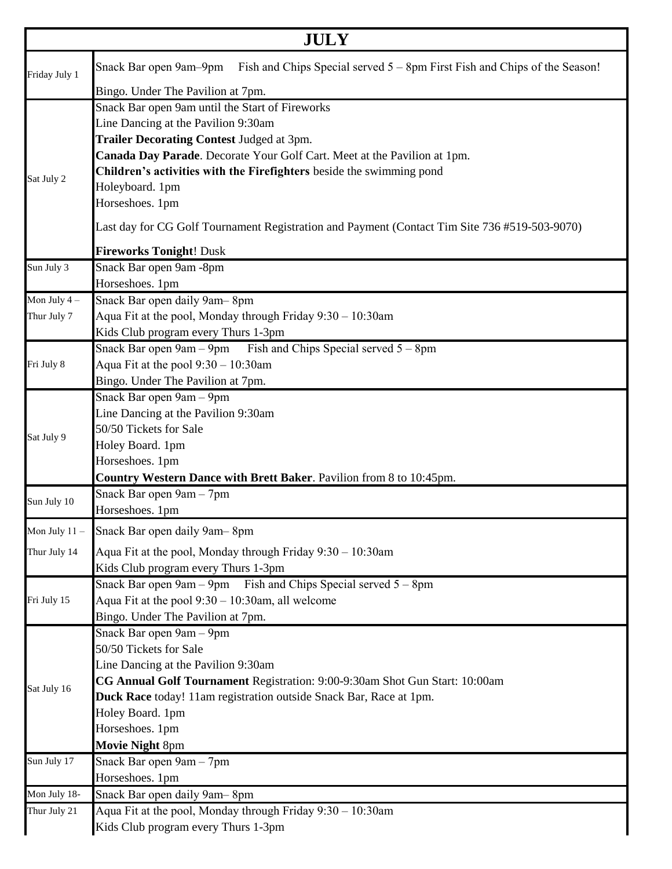|                 | <b>JULY</b>                                                                                         |  |
|-----------------|-----------------------------------------------------------------------------------------------------|--|
|                 | Fish and Chips Special served 5 – 8pm First Fish and Chips of the Season!<br>Snack Bar open 9am-9pm |  |
| Friday July 1   | Bingo. Under The Pavilion at 7pm.                                                                   |  |
|                 | Snack Bar open 9am until the Start of Fireworks                                                     |  |
|                 | Line Dancing at the Pavilion 9:30am                                                                 |  |
|                 | Trailer Decorating Contest Judged at 3pm.                                                           |  |
|                 | Canada Day Parade. Decorate Your Golf Cart. Meet at the Pavilion at 1pm.                            |  |
|                 | Children's activities with the Firefighters beside the swimming pond                                |  |
| Sat July 2      | Holeyboard. 1pm                                                                                     |  |
|                 | Horseshoes. 1pm                                                                                     |  |
|                 | Last day for CG Golf Tournament Registration and Payment (Contact Tim Site 736 #519-503-9070)       |  |
|                 | <b>Fireworks Tonight! Dusk</b>                                                                      |  |
| Sun July 3      | Snack Bar open 9am -8pm                                                                             |  |
|                 | Horseshoes. 1pm                                                                                     |  |
| Mon July $4-$   | Snack Bar open daily 9am-8pm                                                                        |  |
| Thur July 7     | Aqua Fit at the pool, Monday through Friday 9:30 - 10:30am                                          |  |
|                 | Kids Club program every Thurs 1-3pm                                                                 |  |
|                 | Snack Bar open $9am - 9pm$ Fish and Chips Special served $5 - 8pm$                                  |  |
| Fri July 8      | Aqua Fit at the pool $9:30 - 10:30$ am                                                              |  |
|                 | Bingo. Under The Pavilion at 7pm.                                                                   |  |
|                 | Snack Bar open 9am - 9pm                                                                            |  |
|                 | Line Dancing at the Pavilion 9:30am                                                                 |  |
|                 | 50/50 Tickets for Sale                                                                              |  |
| Sat July 9      | Holey Board. 1pm                                                                                    |  |
|                 | Horseshoes. 1pm                                                                                     |  |
|                 | Country Western Dance with Brett Baker. Pavilion from 8 to 10:45pm.                                 |  |
| Sun July 10     | Snack Bar open 9am - 7pm                                                                            |  |
|                 | Horseshoes. 1pm                                                                                     |  |
| Mon July $11 -$ | Snack Bar open daily 9am-8pm                                                                        |  |
| Thur July 14    | Aqua Fit at the pool, Monday through Friday 9:30 - 10:30am                                          |  |
|                 | Kids Club program every Thurs 1-3pm                                                                 |  |
|                 | Snack Bar open $9am - 9pm$ Fish and Chips Special served $5 - 8pm$                                  |  |
| Fri July 15     | Aqua Fit at the pool $9:30 - 10:30$ am, all welcome                                                 |  |
|                 | Bingo. Under The Pavilion at 7pm.                                                                   |  |
|                 | Snack Bar open 9am - 9pm                                                                            |  |
|                 | 50/50 Tickets for Sale                                                                              |  |
|                 | Line Dancing at the Pavilion 9:30am                                                                 |  |
| Sat July 16     | CG Annual Golf Tournament Registration: 9:00-9:30am Shot Gun Start: 10:00am                         |  |
|                 | Duck Race today! 11am registration outside Snack Bar, Race at 1pm.                                  |  |
|                 | Holey Board. 1pm                                                                                    |  |
|                 | Horseshoes. 1pm                                                                                     |  |
|                 | Movie Night 8pm                                                                                     |  |
| Sun July 17     | Snack Bar open 9am - 7pm                                                                            |  |
|                 | Horseshoes. 1pm                                                                                     |  |
| Mon July 18-    | Snack Bar open daily 9am-8pm                                                                        |  |
| Thur July 21    | Aqua Fit at the pool, Monday through Friday 9:30 - 10:30am                                          |  |
|                 | Kids Club program every Thurs 1-3pm                                                                 |  |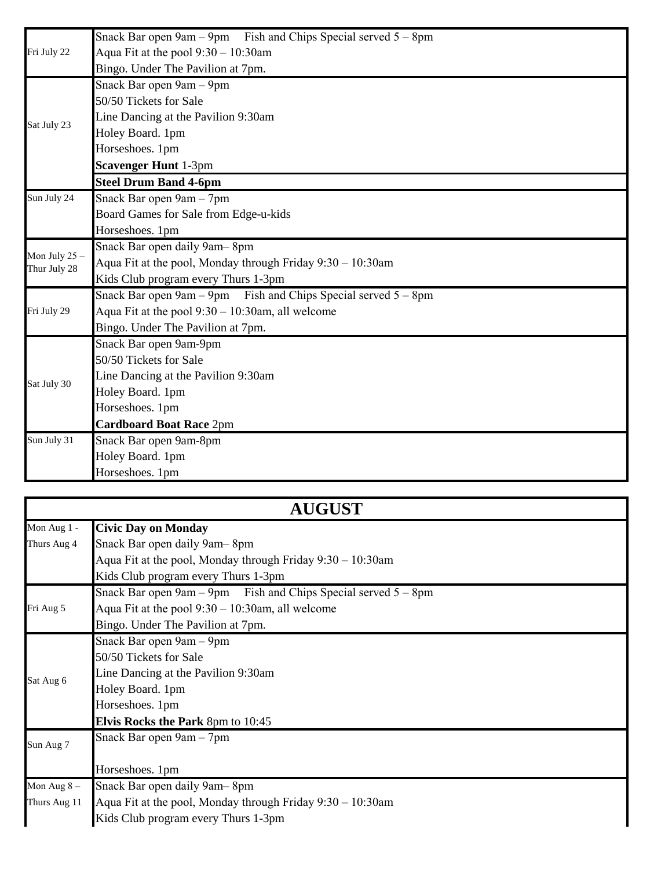|                 | Snack Bar open $9am - 9pm$ Fish and Chips Special served $5 - 8pm$ |
|-----------------|--------------------------------------------------------------------|
| Fri July 22     | Aqua Fit at the pool $9:30 - 10:30$ am                             |
|                 | Bingo. Under The Pavilion at 7pm.                                  |
|                 | Snack Bar open 9am - 9pm                                           |
|                 | 50/50 Tickets for Sale                                             |
| Sat July 23     | Line Dancing at the Pavilion 9:30am                                |
|                 | Holey Board. 1pm                                                   |
|                 | Horseshoes. 1pm                                                    |
|                 | <b>Scavenger Hunt 1-3pm</b>                                        |
|                 | <b>Steel Drum Band 4-6pm</b>                                       |
| Sun July 24     | Snack Bar open 9am - 7pm                                           |
|                 | Board Games for Sale from Edge-u-kids                              |
|                 | Horseshoes. 1pm                                                    |
| Mon July $25 -$ | Snack Bar open daily 9am-8pm                                       |
| Thur July 28    | Aqua Fit at the pool, Monday through Friday 9:30 – 10:30am         |
|                 | Kids Club program every Thurs 1-3pm                                |
|                 | Snack Bar open $9am - 9pm$ Fish and Chips Special served $5 - 8pm$ |
| Fri July 29     | Aqua Fit at the pool $9:30 - 10:30$ am, all welcome                |
|                 | Bingo. Under The Pavilion at 7pm.                                  |
|                 | Snack Bar open 9am-9pm                                             |
|                 | 50/50 Tickets for Sale                                             |
| Sat July 30     | Line Dancing at the Pavilion 9:30am                                |
|                 | Holey Board. 1pm                                                   |
|                 | Horseshoes. 1pm                                                    |
|                 | <b>Cardboard Boat Race 2pm</b>                                     |
| Sun July 31     | Snack Bar open 9am-8pm                                             |
|                 | Holey Board. 1pm                                                   |
|                 | Horseshoes. 1pm                                                    |

## **AUGUST**

| Mon Aug 1 -   | <b>Civic Day on Monday</b>                                         |
|---------------|--------------------------------------------------------------------|
| Thurs Aug 4   | Snack Bar open daily 9am-8pm                                       |
|               | Aqua Fit at the pool, Monday through Friday 9:30 – 10:30am         |
|               | Kids Club program every Thurs 1-3pm                                |
|               | Snack Bar open $9am - 9pm$ Fish and Chips Special served $5 - 8pm$ |
| Fri Aug 5     | Aqua Fit at the pool $9:30 - 10:30$ am, all welcome                |
|               | Bingo. Under The Pavilion at 7pm.                                  |
|               | Snack Bar open 9am - 9pm                                           |
|               | 50/50 Tickets for Sale                                             |
| Sat Aug 6     | Line Dancing at the Pavilion 9:30am                                |
|               | Holey Board. 1pm                                                   |
|               | Horseshoes. 1pm                                                    |
|               | <b>Elvis Rocks the Park 8pm to 10:45</b>                           |
| Sun Aug 7     | Snack Bar open 9am - 7pm                                           |
|               | Horseshoes. 1pm                                                    |
| Mon Aug $8 -$ | Snack Bar open daily 9am-8pm                                       |
| Thurs Aug 11  | Aqua Fit at the pool, Monday through Friday $9:30 - 10:30$ am      |
|               | Kids Club program every Thurs 1-3pm                                |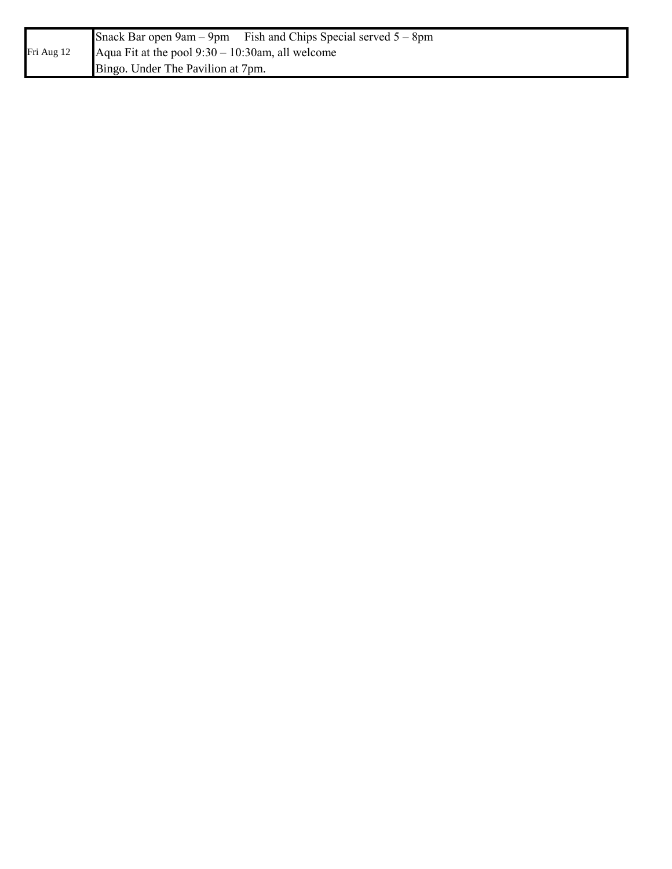|            |                                                     | Snack Bar open $9am - 9pm$ Fish and Chips Special served $5 - 8pm$ |
|------------|-----------------------------------------------------|--------------------------------------------------------------------|
| Fri Aug 12 | Aqua Fit at the pool $9:30 - 10:30$ am, all welcome |                                                                    |
|            | Bingo. Under The Pavilion at 7pm.                   |                                                                    |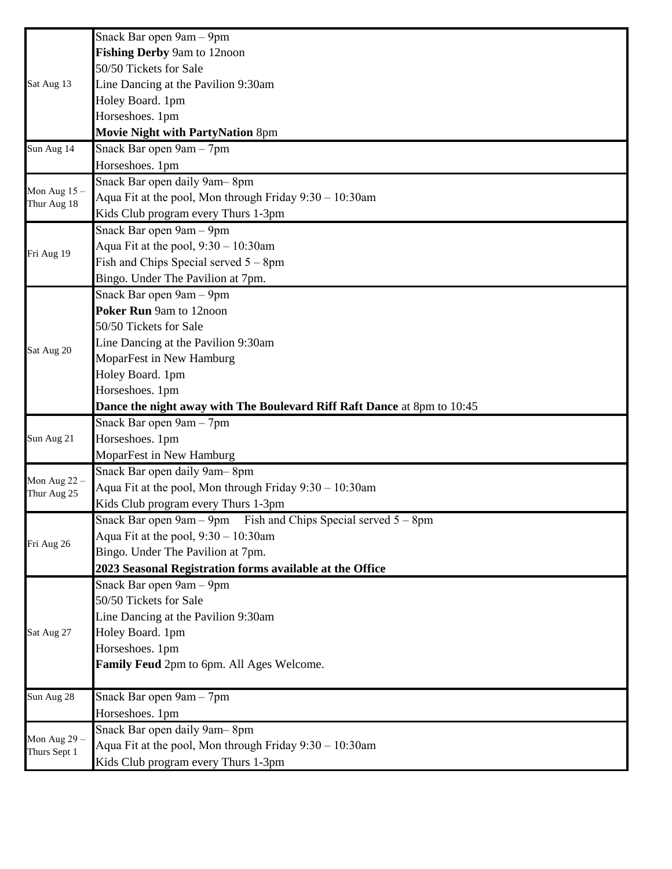|                | Snack Bar open 9am - 9pm                                                                          |
|----------------|---------------------------------------------------------------------------------------------------|
|                | Fishing Derby 9am to 12noon                                                                       |
|                | 50/50 Tickets for Sale                                                                            |
| Sat Aug 13     | Line Dancing at the Pavilion 9:30am                                                               |
|                | Holey Board. 1pm                                                                                  |
|                | Horseshoes. 1pm                                                                                   |
|                | Movie Night with PartyNation 8pm                                                                  |
| Sun Aug 14     | Snack Bar open 9am - 7pm                                                                          |
|                | Horseshoes. 1pm                                                                                   |
| Mon Aug $15 -$ | Snack Bar open daily 9am-8pm                                                                      |
| Thur Aug 18    | Aqua Fit at the pool, Mon through Friday 9:30 - 10:30am                                           |
|                | Kids Club program every Thurs 1-3pm                                                               |
|                | Snack Bar open 9am - 9pm                                                                          |
| Fri Aug 19     | Aqua Fit at the pool, $9:30 - 10:30$ am                                                           |
|                | Fish and Chips Special served $5 - 8$ pm                                                          |
|                | Bingo. Under The Pavilion at 7pm.                                                                 |
|                | Snack Bar open 9am - 9pm                                                                          |
|                | Poker Run 9am to 12noon                                                                           |
|                | 50/50 Tickets for Sale                                                                            |
| Sat Aug 20     | Line Dancing at the Pavilion 9:30am                                                               |
|                | MoparFest in New Hamburg                                                                          |
|                | Holey Board. 1pm                                                                                  |
|                | Horseshoes. 1pm                                                                                   |
|                | Dance the night away with The Boulevard Riff Raft Dance at 8pm to 10:45                           |
|                | Snack Bar open 9am - 7pm                                                                          |
| Sun Aug 21     | Horseshoes. 1pm                                                                                   |
|                | MoparFest in New Hamburg                                                                          |
| Mon Aug $22 -$ | Snack Bar open daily 9am-8pm                                                                      |
| Thur Aug 25    | Aqua Fit at the pool, Mon through Friday $9:30 - 10:30$ am                                        |
|                | Kids Club program every Thurs 1-3pm                                                               |
|                | Snack Bar open $9am - 9pm$ Fish and Chips Special served $5 - 8pm$                                |
| Fri Aug 26     | Aqua Fit at the pool, $9:30 - 10:30$ am                                                           |
|                | Bingo. Under The Pavilion at 7pm.                                                                 |
|                | 2023 Seasonal Registration forms available at the Office                                          |
|                | Snack Bar open 9am - 9pm                                                                          |
|                | 50/50 Tickets for Sale                                                                            |
| Sat Aug 27     | Line Dancing at the Pavilion 9:30am                                                               |
|                | Holey Board. 1pm                                                                                  |
|                | Horseshoes. 1pm                                                                                   |
|                | Family Feud 2pm to 6pm. All Ages Welcome.                                                         |
| Sun Aug 28     | Snack Bar open 9am - 7pm                                                                          |
|                | Horseshoes. 1pm                                                                                   |
| Mon Aug 29 -   | Snack Bar open daily 9am-8pm                                                                      |
|                |                                                                                                   |
| Thurs Sept 1   | Aqua Fit at the pool, Mon through Friday $9:30 - 10:30$ am<br>Kids Club program every Thurs 1-3pm |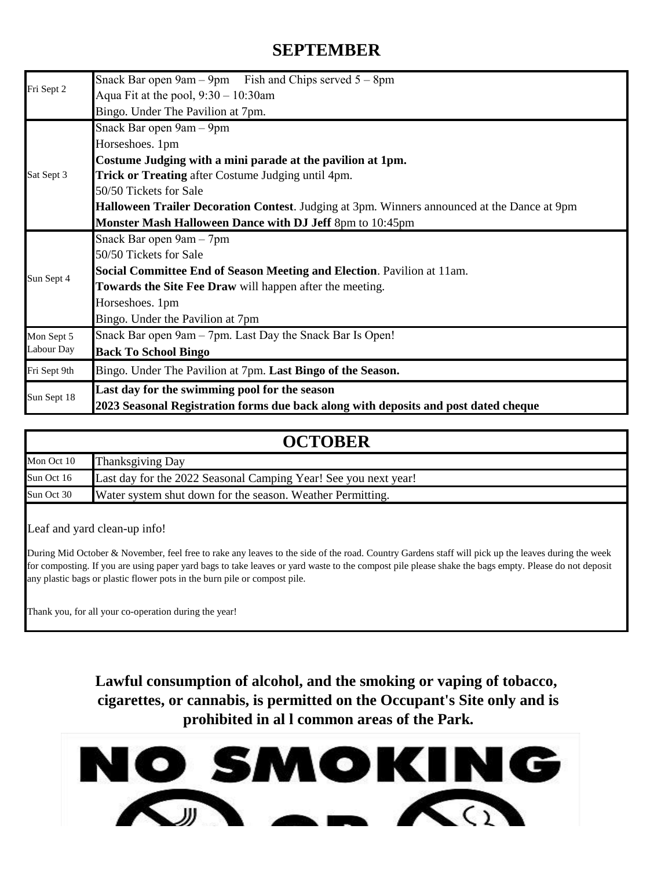## **SEPTEMBER**

|              | Snack Bar open $9am - 9pm$ Fish and Chips served $5 - 8pm$                                  |  |
|--------------|---------------------------------------------------------------------------------------------|--|
| Fri Sept 2   | Aqua Fit at the pool, $9:30 - 10:30$ am                                                     |  |
|              | Bingo. Under The Pavilion at 7pm.                                                           |  |
|              | Snack Bar open 9am - 9pm                                                                    |  |
|              | Horseshoes. 1pm                                                                             |  |
|              | Costume Judging with a mini parade at the pavilion at 1pm.                                  |  |
| Sat Sept 3   | Trick or Treating after Costume Judging until 4pm.                                          |  |
|              | 50/50 Tickets for Sale                                                                      |  |
|              | Halloween Trailer Decoration Contest. Judging at 3pm. Winners announced at the Dance at 9pm |  |
|              | Monster Mash Halloween Dance with DJ Jeff 8pm to 10:45pm                                    |  |
|              | Snack Bar open 9am - 7pm                                                                    |  |
|              | 50/50 Tickets for Sale                                                                      |  |
| Sun Sept 4   | Social Committee End of Season Meeting and Election. Pavilion at 11am.                      |  |
|              | Towards the Site Fee Draw will happen after the meeting.                                    |  |
|              | Horseshoes. 1pm                                                                             |  |
|              | Bingo. Under the Pavilion at 7pm                                                            |  |
| Mon Sept 5   | Snack Bar open 9am - 7pm. Last Day the Snack Bar Is Open!                                   |  |
| Labour Day   | <b>Back To School Bingo</b>                                                                 |  |
| Fri Sept 9th | Bingo. Under The Pavilion at 7pm. Last Bingo of the Season.                                 |  |
|              | Last day for the swimming pool for the season                                               |  |
| Sun Sept 18  | 2023 Seasonal Registration forms due back along with deposits and post dated cheque         |  |

| <b>OCTOBER</b> |                                                                 |
|----------------|-----------------------------------------------------------------|
| Mon Oct 10     | <b>Thanksgiving Day</b>                                         |
| Sun Oct 16     | Last day for the 2022 Seasonal Camping Year! See you next year! |
| Sun Oct 30     | Water system shut down for the season. Weather Permitting.      |

Leaf and yard clean-up info!

During Mid October & November, feel free to rake any leaves to the side of the road. Country Gardens staff will pick up the leaves during the week for composting. If you are using paper yard bags to take leaves or yard waste to the compost pile please shake the bags empty. Please do not deposit any plastic bags or plastic flower pots in the burn pile or compost pile.

Thank you, for all your co-operation during the year!

**Lawful consumption of alcohol, and the smoking or vaping of tobacco, cigarettes, or cannabis, is permitted on the Occupant's Site only and is prohibited in al l common areas of the Park.**